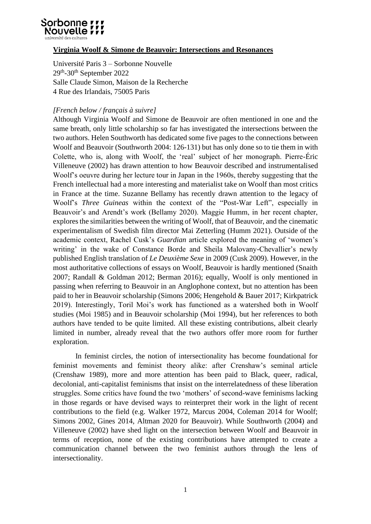

## **Virginia Woolf & Simone de Beauvoir: Intersections and Resonances**

Université Paris 3 – Sorbonne Nouvelle 29<sup>th</sup>-30<sup>th</sup> September 2022 Salle Claude Simon, Maison de la Recherche 4 Rue des Irlandais, 75005 Paris

## *[French below / français à suivre]*

Although Virginia Woolf and Simone de Beauvoir are often mentioned in one and the same breath, only little scholarship so far has investigated the intersections between the two authors. Helen Southworth has dedicated some five pages to the connections between Woolf and Beauvoir (Southworth 2004: 126-131) but has only done so to tie them in with Colette, who is, along with Woolf, the 'real' subject of her monograph. Pierre-Éric Villeneuve (2002) has drawn attention to how Beauvoir described and instrumentalised Woolf's oeuvre during her lecture tour in Japan in the 1960s, thereby suggesting that the French intellectual had a more interesting and materialist take on Woolf than most critics in France at the time. Suzanne Bellamy has recently drawn attention to the legacy of Woolf's *Three Guineas* within the context of the "Post-War Left", especially in Beauvoir's and Arendt's work (Bellamy 2020). Maggie Humm, in her recent chapter, explores the similarities between the writing of Woolf, that of Beauvoir, and the cinematic experimentalism of Swedish film director Mai Zetterling (Humm 2021). Outside of the academic context, Rachel Cusk's *Guardian* article explored the meaning of 'women's writing' in the wake of Constance Borde and Sheila Malovany-Chevallier's newly published English translation of *Le Deuxième Sexe* in 2009 (Cusk 2009). However, in the most authoritative collections of essays on Woolf, Beauvoir is hardly mentioned (Snaith 2007; Randall & Goldman 2012; Berman 2016); equally, Woolf is only mentioned in passing when referring to Beauvoir in an Anglophone context, but no attention has been paid to her in Beauvoir scholarship (Simons 2006; Hengehold & Bauer 2017; Kirkpatrick 2019). Interestingly, Toril Moi's work has functioned as a watershed both in Woolf studies (Moi 1985) and in Beauvoir scholarship (Moi 1994), but her references to both authors have tended to be quite limited. All these existing contributions, albeit clearly limited in number, already reveal that the two authors offer more room for further exploration.

In feminist circles, the notion of intersectionality has become foundational for feminist movements and feminist theory alike: after Crenshaw's seminal article (Crenshaw 1989), more and more attention has been paid to Black, queer, radical, decolonial, anti-capitalist feminisms that insist on the interrelatedness of these liberation struggles. Some critics have found the two 'mothers' of second-wave feminisms lacking in those regards or have devised ways to reinterpret their work in the light of recent contributions to the field (e.g. Walker 1972, Marcus 2004, Coleman 2014 for Woolf; Simons 2002, Gines 2014, Altman 2020 for Beauvoir). While Southworth (2004) and Villeneuve (2002) have shed light on the intersection between Woolf and Beauvoir in terms of reception, none of the existing contributions have attempted to create a communication channel between the two feminist authors through the lens of intersectionality.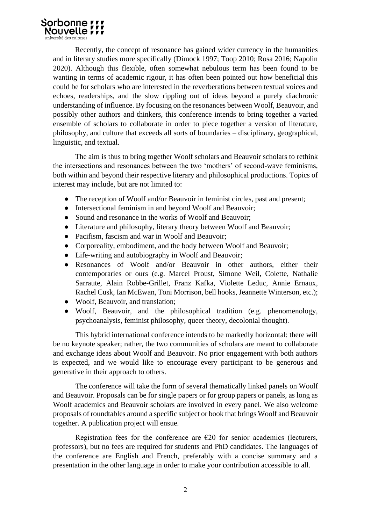

Recently, the concept of resonance has gained wider currency in the humanities and in literary studies more specifically (Dimock 1997; Toop 2010; Rosa 2016; Napolin 2020). Although this flexible, often somewhat nebulous term has been found to be wanting in terms of academic rigour, it has often been pointed out how beneficial this could be for scholars who are interested in the reverberations between textual voices and echoes, readerships, and the slow rippling out of ideas beyond a purely diachronic understanding of influence. By focusing on the resonances between Woolf, Beauvoir, and possibly other authors and thinkers, this conference intends to bring together a varied ensemble of scholars to collaborate in order to piece together a version of literature, philosophy, and culture that exceeds all sorts of boundaries – disciplinary, geographical, linguistic, and textual.

The aim is thus to bring together Woolf scholars and Beauvoir scholars to rethink the intersections and resonances between the two 'mothers' of second-wave feminisms, both within and beyond their respective literary and philosophical productions. Topics of interest may include, but are not limited to:

- The reception of Woolf and/or Beauvoir in feminist circles, past and present;
- Intersectional feminism in and beyond Woolf and Beauvoir:
- Sound and resonance in the works of Woolf and Beauvoir;
- Literature and philosophy, literary theory between Woolf and Beauvoir;
- Pacifism, fascism and war in Woolf and Beauvoir:
- Corporeality, embodiment, and the body between Woolf and Beauvoir;
- Life-writing and autobiography in Woolf and Beauvoir;
- Resonances of Woolf and/or Beauvoir in other authors, either their contemporaries or ours (e.g. Marcel Proust, Simone Weil, Colette, Nathalie Sarraute, Alain Robbe-Grillet, Franz Kafka, Violette Leduc, Annie Ernaux, Rachel Cusk, Ian McEwan, Toni Morrison, bell hooks, Jeannette Winterson, etc.);
- Woolf, Beauvoir, and translation;
- Woolf, Beauvoir, and the philosophical tradition (e.g. phenomenology, psychoanalysis, feminist philosophy, queer theory, decolonial thought).

This hybrid international conference intends to be markedly horizontal: there will be no keynote speaker; rather, the two communities of scholars are meant to collaborate and exchange ideas about Woolf and Beauvoir. No prior engagement with both authors is expected, and we would like to encourage every participant to be generous and generative in their approach to others.

The conference will take the form of several thematically linked panels on Woolf and Beauvoir. Proposals can be for single papers or for group papers or panels, as long as Woolf academics and Beauvoir scholars are involved in every panel. We also welcome proposals of roundtables around a specific subject or book that brings Woolf and Beauvoir together. A publication project will ensue.

Registration fees for the conference are  $E20$  for senior academics (lecturers, professors), but no fees are required for students and PhD candidates. The languages of the conference are English and French, preferably with a concise summary and a presentation in the other language in order to make your contribution accessible to all.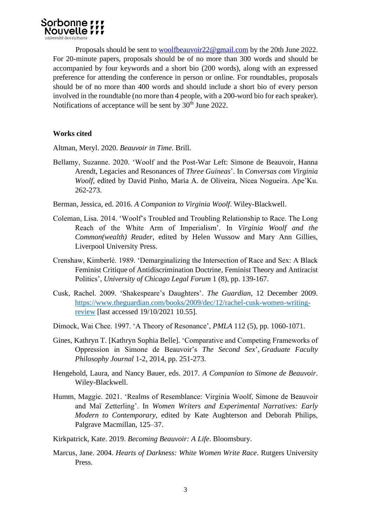

Proposals should be sent to [woolfbeauvoir22@gmail.com](mailto:woolfbeauvoir22@gmail.com) by the 20th June 2022. For 20-minute papers, proposals should be of no more than 300 words and should be accompanied by four keywords and a short bio (200 words), along with an expressed preference for attending the conference in person or online. For roundtables, proposals should be of no more than 400 words and should include a short bio of every person involved in the roundtable (no more than 4 people, with a 200-word bio for each speaker). Notifications of acceptance will be sent by 30<sup>th</sup> June 2022.

#### **Works cited**

Altman, Meryl. 2020. *Beauvoir in Time*. Brill.

- Bellamy, Suzanne. 2020. 'Woolf and the Post-War Left: Simone de Beauvoir, Hanna Arendt, Legacies and Resonances of *Three Guineas*'. In *Conversas com Virginia Woolf*, edited by David Pinho, Maria A. de Oliveira, Nícea Nogueira. Ape'Ku. 262-273.
- Berman, Jessica, ed. 2016. *A Companion to Virginia Woolf*. Wiley-Blackwell.
- Coleman, Lisa. 2014. 'Woolf's Troubled and Troubling Relationship to Race. The Long Reach of the White Arm of Imperialism'. In *Virginia Woolf and the Common(wealth) Reader*, edited by Helen Wussow and Mary Ann Gillies, Liverpool University Press.
- Crenshaw, Kimberlé. 1989. 'Demarginalizing the Intersection of Race and Sex: A Black Feminist Critique of Antidiscrimination Doctrine, Feminist Theory and Antiracist Politics', *University of Chicago Legal Forum* 1 (8), pp. 139-167.
- Cusk, Rachel. 2009. 'Shakespeare's Daughters'. *The Guardian*, 12 December 2009. [https://www.theguardian.com/books/2009/dec/12/rachel-cusk-women-writing](https://www.theguardian.com/books/2009/dec/12/rachel-cusk-women-writing-review)[review](https://www.theguardian.com/books/2009/dec/12/rachel-cusk-women-writing-review) [last accessed 19/10/2021 10.55].
- Dimock, Wai Chee. 1997. 'A Theory of Resonance', *PMLA* 112 (5), pp. 1060-1071.
- Gines, Kathryn T. [Kathryn Sophia Belle]. 'Comparative and Competing Frameworks of Oppression in Simone de Beauvoir's *The Second Sex*', *Graduate Faculty Philosophy Journal* 1-2, 2014, pp. 251-273.
- Hengehold, Laura, and Nancy Bauer, eds. 2017. *A Companion to Simone de Beauvoir*. Wiley-Blackwell.
- Humm, Maggie. 2021. 'Realms of Resemblance: Virginia Woolf, Simone de Beauvoir and Maï Zetterling'. In *Women Writers and Experimental Narratives: Early Modern to Contemporary*, edited by Kate Aughterson and Deborah Philips, Palgrave Macmillan, 125–37.
- Kirkpatrick, Kate. 2019. *Becoming Beauvoir: A Life*. Bloomsbury.
- Marcus, Jane. 2004. *Hearts of Darkness: White Women Write Race*. Rutgers University Press.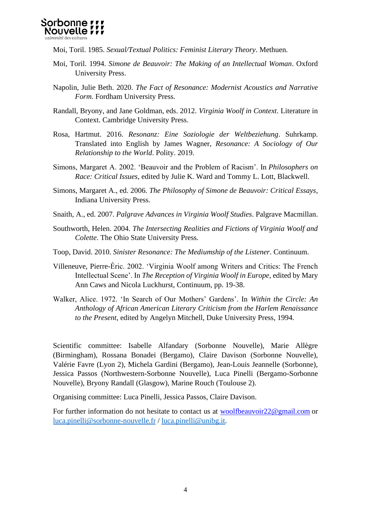

Moi, Toril. 1985. *Sexual/Textual Politics: Feminist Literary Theory*. Methuen.

- Moi, Toril. 1994. *Simone de Beauvoir: The Making of an Intellectual Woman*. Oxford University Press.
- Napolin, Julie Beth. 2020. *The Fact of Resonance: Modernist Acoustics and Narrative Form*. Fordham University Press.
- Randall, Bryony, and Jane Goldman, eds. 2012. *Virginia Woolf in Context*. Literature in Context. Cambridge University Press.
- Rosa, Hartmut. 2016. *Resonanz: Eine Soziologie der Weltbeziehung*. Suhrkamp. Translated into English by James Wagner, *Resonance: A Sociology of Our Relationship to the World*. Polity. 2019.
- Simons, Margaret A. 2002. 'Beauvoir and the Problem of Racism'. In *Philosophers on Race: Critical Issues*, edited by Julie K. Ward and Tommy L. Lott, Blackwell.
- Simons, Margaret A., ed. 2006. *The Philosophy of Simone de Beauvoir: Critical Essays*, Indiana University Press.
- Snaith, A., ed. 2007. *Palgrave Advances in Virginia Woolf Studies*. Palgrave Macmillan.
- Southworth, Helen. 2004. *The Intersecting Realities and Fictions of Virginia Woolf and Colette*. The Ohio State University Press.
- Toop, David. 2010. *Sinister Resonance: The Mediumship of the Listener*. Continuum.
- Villeneuve, Pierre-Éric. 2002. 'Virginia Woolf among Writers and Critics: The French Intellectual Scene'. In *The Reception of Virginia Woolf in Europe*, edited by Mary Ann Caws and Nicola Luckhurst, Continuum, pp. 19-38.
- Walker, Alice. 1972. 'In Search of Our Mothers' Gardens'. In *Within the Circle: An Anthology of African American Literary Criticism from the Harlem Renaissance to the Present*, edited by Angelyn Mitchell, Duke University Press, 1994.

Scientific committee: Isabelle Alfandary (Sorbonne Nouvelle), Marie Allègre (Birmingham), Rossana Bonadei (Bergamo), Claire Davison (Sorbonne Nouvelle), Valérie Favre (Lyon 2), Michela Gardini (Bergamo), Jean-Louis Jeannelle (Sorbonne), Jessica Passos (Northwestern-Sorbonne Nouvelle), Luca Pinelli (Bergamo-Sorbonne Nouvelle), Bryony Randall (Glasgow), Marine Rouch (Toulouse 2).

Organising committee: Luca Pinelli, Jessica Passos, Claire Davison.

For further information do not hesitate to contact us at [woolfbeauvoir22@gmail.com](mailto:woolfbeauvoir22@gmail.com) or [luca.pinelli@sorbonne-nouvelle.fr](mailto:luca.pinelli@sorbonne-nouvelle.fr) / [luca.pinelli@unibg.it.](mailto:luca.pinelli@unibg.it)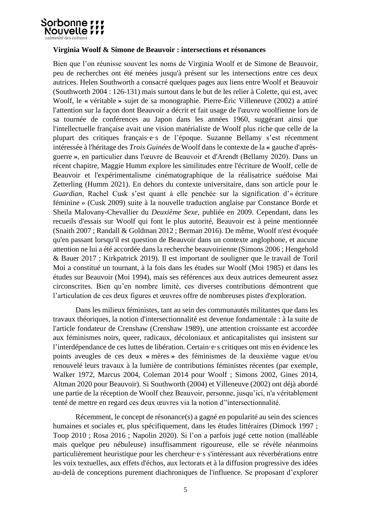

### **Virginia Woolf & Simone de Beauvoir : intersections et résonances**

Bien que l'on réunisse souvent les noms de Virginia Woolf et de Simone de Beauvoir, peu de recherches ont été menées jusqu'à présent sur les intersections entre ces deux autrices. Helen Southworth a consacré quelques pages aux liens entre Woolf et Beauvoir (Southworth 2004 : 126-131) mais surtout dans le but de les relier à Colette, qui est, avec Woolf, le **«** véritable **»** sujet de sa monographie. Pierre-Éric Villeneuve (2002) a attiré l'attention sur la façon dont Beauvoir a décrit et fait usage de l'œuvre woolfienne lors de sa tournée de conférences au Japon dans les années 1960, suggérant ainsi que l'intellectuelle française avait une vision matérialiste de Woolf plus riche que celle de la plupart des critiques français·e·s de l'époque. Suzanne Bellamy s'est récemment intéressée à l'héritage des *Trois Guinées* de Woolf dans le contexte de la **«** gauche d'aprèsguerre **»**, en particulier dans l'œuvre de Beauvoir et d'Arendt (Bellamy 2020). Dans un récent chapitre, Maggie Humm explore les similitudes entre l'écriture de Woolf, celle de Beauvoir et l'expérimentalisme cinématographique de la réalisatrice suédoise Mai Zetterling (Humm 2021). En dehors du contexte universitaire, dans son article pour le *Guardian*, Rachel Cusk s'est quant à elle penchée sur la signification d'« écriture féminine » (Cusk 2009) suite à la nouvelle traduction anglaise par Constance Borde et Sheila Malovany-Chevallier du *Deuxième Sexe*, publiée en 2009. Cependant, dans les recueils d'essais sur Woolf qui font le plus autorité, Beauvoir est à peine mentionnée (Snaith 2007 ; Randall & Goldman 2012 ; Berman 2016). De même, Woolf n'est évoquée qu'en passant lorsqu'il est question de Beauvoir dans un contexte anglophone, et aucune attention ne lui a été accordée dans la recherche beauvoirienne (Simons 2006 ; Hengehold & Bauer 2017 ; Kirkpatrick 2019). Il est important de souligner que le travail de Toril Moi a constitué un tournant, à la fois dans les études sur Woolf (Moi 1985) et dans les études sur Beauvoir (Moi 1994), mais ses références aux deux autrices demeurent assez circonscrites. Bien qu'en nombre limité, ces diverses contributions démontrent que l'articulation de ces deux figures et œuvres offre de nombreuses pistes d'exploration.

Dans les milieux féministes, tant au sein des communautés militantes que dans les travaux théoriques, la notion d'intersectionnalité est devenue fondamentale : à la suite de l'article fondateur de Crenshaw (Crenshaw 1989), une attention croissante est accordée aux féminismes noirs, queer, radicaux, décoloniaux et anticapitalistes qui insistent sur l'interdépendance de ces luttes de libération. Certain·e·s critiques ont mis en évidence les points aveugles de ces deux **«** mères **»** des féminismes de la deuxième vague et/ou renouvelé leurs travaux à la lumière de contributions féministes récentes (par exemple, Walker 1972, Marcus 2004, Coleman 2014 pour Woolf ; Simons 2002, Gines 2014, Altman 2020 pour Beauvoir). Si Southworth (2004) et Villeneuve (2002) ont déjà abordé une partie de la réception de Woolf chez Beauvoir, personne, jusqu'ici, n'a véritablement tenté de mettre en regard ces deux œuvres via la notion d''intersectionnalité.

Récemment, le concept de résonance(s) a gagné en popularité au sein des sciences humaines et sociales et, plus spécifiquement, dans les études littéraires (Dimock 1997 ; Toop 2010 ; Rosa 2016 ; Napolin 2020). Si l'on a parfois jugé cette notion (malléable mais quelque peu nébuleuse) insuffisamment rigoureuse, elle se révèle néanmoins particulièrement heuristique pour les chercheur·e·s s'intéressant aux réverbérations entre les voix textuelles, aux effets d'échos, aux lectorats et à la diffusion progressive des idées au-delà de conceptions purement diachroniques de l'influence. Se proposant d'explorer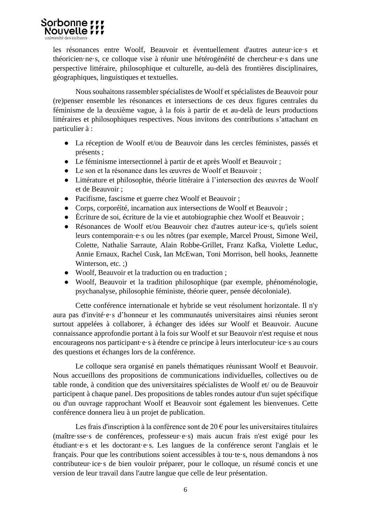

les résonances entre Woolf, Beauvoir et éventuellement d'autres auteur·ice·s et théoricien·ne·s, ce colloque vise à réunir une hétérogénéité de chercheur·e·s dans une perspective littéraire, philosophique et culturelle, au-delà des frontières disciplinaires, géographiques, linguistiques et textuelles.

Nous souhaitons rassembler spécialistes de Woolf et spécialistes de Beauvoir pour (re)penser ensemble les résonances et intersections de ces deux figures centrales du féminisme de la deuxième vague, à la fois à partir de et au-delà de leurs productions littéraires et philosophiques respectives. Nous invitons des contributions s'attachant en particulier à :

- La réception de Woolf et/ou de Beauvoir dans les cercles féministes, passés et présents ;
- Le féminisme intersectionnel à partir de et après Woolf et Beauvoir ;
- Le son et la résonance dans les œuvres de Woolf et Beauvoir ;
- Littérature et philosophie, théorie littéraire à l'intersection des œuvres de Woolf et de Beauvoir ;
- Pacifisme, fascisme et guerre chez Woolf et Beauvoir ;
- Corps, corporéité, incarnation aux intersections de Woolf et Beauvoir ;
- Écriture de soi, écriture de la vie et autobiographie chez Woolf et Beauvoir ;
- Résonances de Woolf et/ou Beauvoir chez d'autres auteur·ice·s, qu'iels soient leurs contemporain·e·s ou les nôtres (par exemple, Marcel Proust, Simone Weil, Colette, Nathalie Sarraute, Alain Robbe-Grillet, Franz Kafka, Violette Leduc, Annie Ernaux, Rachel Cusk, Ian McEwan, Toni Morrison, bell hooks, Jeannette Winterson, etc. :)
- Woolf, Beauvoir et la traduction ou en traduction ;
- Woolf, Beauvoir et la tradition philosophique (par exemple, phénoménologie, psychanalyse, philosophie féministe, théorie queer, pensée décoloniale).

Cette conférence internationale et hybride se veut résolument horizontale. Il n'y aura pas d'invité·e·s d'honneur et les communautés universitaires ainsi réunies seront surtout appelées à collaborer, à échanger des idées sur Woolf et Beauvoir. Aucune connaissance approfondie portant à la fois sur Woolf et sur Beauvoir n'est requise et nous encourageons nos participant·e·s à étendre ce principe à leurs interlocuteur·ice·s au cours des questions et échanges lors de la conférence.

Le colloque sera organisé en panels thématiques réunissant Woolf et Beauvoir. Nous accueillons des propositions de communications individuelles, collectives ou de table ronde, à condition que des universitaires spécialistes de Woolf et/ ou de Beauvoir participent à chaque panel. Des propositions de tables rondes autour d'un sujet spécifique ou d'un ouvrage rapprochant Woolf et Beauvoir sont également les bienvenues. Cette conférence donnera lieu à un projet de publication.

Les frais d'inscription à la conférence sont de 20  $\epsilon$  pour les universitaires titulaires (maître·sse·s de conférences, professeur·e·s) mais aucun frais n'est exigé pour les étudiant·e·s et les doctorant·e·s. Les langues de la conférence seront l'anglais et le français. Pour que les contributions soient accessibles à tou·te·s, nous demandons à nos contributeur·ice·s de bien vouloir préparer, pour le colloque, un résumé concis et une version de leur travail dans l'autre langue que celle de leur présentation.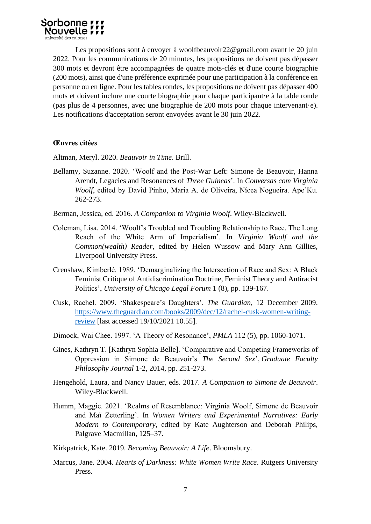Les propositions sont à envoyer à woolfbeauvoir22@gmail.com avant le 20 juin 2022. Pour les communications de 20 minutes, les propositions ne doivent pas dépasser 300 mots et devront être accompagnées de quatre mots-clés et d'une courte biographie (200 mots), ainsi que d'une préférence exprimée pour une participation à la conférence en personne ou en ligne. Pour les tables rondes, les propositions ne doivent pas dépasser 400 mots et doivent inclure une courte biographie pour chaque participant**·**e à la table ronde (pas plus de 4 personnes, avec une biographie de 200 mots pour chaque intervenant·e). Les notifications d'acceptation seront envoyées avant le 30 juin 2022.

# **Œuvres citées**

Altman, Meryl. 2020. *Beauvoir in Time*. Brill.

- Bellamy, Suzanne. 2020. 'Woolf and the Post-War Left: Simone de Beauvoir, Hanna Arendt, Legacies and Resonances of *Three Guineas*'. In *Conversas com Virginia Woolf*, edited by David Pinho, Maria A. de Oliveira, Nícea Nogueira. Ape'Ku. 262-273.
- Berman, Jessica, ed. 2016. *A Companion to Virginia Woolf*. Wiley-Blackwell.
- Coleman, Lisa. 2014. 'Woolf's Troubled and Troubling Relationship to Race. The Long Reach of the White Arm of Imperialism'. In *Virginia Woolf and the Common(wealth) Reader*, edited by Helen Wussow and Mary Ann Gillies, Liverpool University Press.
- Crenshaw, Kimberlé. 1989. 'Demarginalizing the Intersection of Race and Sex: A Black Feminist Critique of Antidiscrimination Doctrine, Feminist Theory and Antiracist Politics', *University of Chicago Legal Forum* 1 (8), pp. 139-167.
- Cusk, Rachel. 2009. 'Shakespeare's Daughters'. *The Guardian*, 12 December 2009. [https://www.theguardian.com/books/2009/dec/12/rachel-cusk-women-writing](https://www.theguardian.com/books/2009/dec/12/rachel-cusk-women-writing-review)[review](https://www.theguardian.com/books/2009/dec/12/rachel-cusk-women-writing-review) [last accessed 19/10/2021 10.55].
- Dimock, Wai Chee. 1997. 'A Theory of Resonance', *PMLA* 112 (5), pp. 1060-1071.
- Gines, Kathryn T. [Kathryn Sophia Belle]. 'Comparative and Competing Frameworks of Oppression in Simone de Beauvoir's *The Second Sex*', *Graduate Faculty Philosophy Journal* 1-2, 2014, pp. 251-273.
- Hengehold, Laura, and Nancy Bauer, eds. 2017. *A Companion to Simone de Beauvoir*. Wiley-Blackwell.
- Humm, Maggie. 2021. 'Realms of Resemblance: Virginia Woolf, Simone de Beauvoir and Maï Zetterling'. In *Women Writers and Experimental Narratives: Early Modern to Contemporary*, edited by Kate Aughterson and Deborah Philips, Palgrave Macmillan, 125–37.
- Kirkpatrick, Kate. 2019. *Becoming Beauvoir: A Life*. Bloomsbury.
- Marcus, Jane. 2004. *Hearts of Darkness: White Women Write Race*. Rutgers University Press.